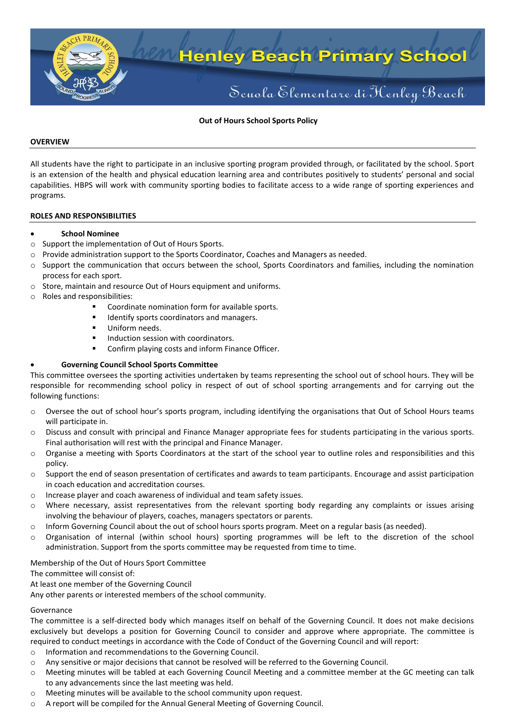

## **Out of Hours School Sports Policy**

### **OVERVIEW**

All students have the right to participate in an inclusive sporting program provided through, or facilitated by the school. Sport is an extension of the health and physical education learning area and contributes positively to students' personal and social capabilities. HBPS will work with community sporting bodies to facilitate access to a wide range of sporting experiences and programs.

### **ROLES AND RESPONSIBILITIES**

### **School Nominee**

- o Support the implementation of Out of Hours Sports.
- o Provide administration support to the Sports Coordinator, Coaches and Managers as needed.
- o Support the communication that occurs between the school, Sports Coordinators and families, including the nomination process for each sport.
- o Store, maintain and resource Out of Hours equipment and uniforms.
- o Roles and responsibilities:
	- **Coordinate nomination form for available sports.**
	- **IDENTIFY SPORTS COORDINATORS AND MANAGERS.**
	- Uniform needs.
	- **Induction session with coordinators.**
	- **EXECONFIRE CONFIRE** COSTS and inform Finance Officer.

# **Governing Council School Sports Committee**

This committee oversees the sporting activities undertaken by teams representing the school out of school hours. They will be responsible for recommending school policy in respect of out of school sporting arrangements and for carrying out the following functions:

- o Oversee the out of school hour's sports program, including identifying the organisations that Out of School Hours teams will participate in.
- o Discuss and consult with principal and Finance Manager appropriate fees for students participating in the various sports. Final authorisation will rest with the principal and Finance Manager.
- o Organise a meeting with Sports Coordinators at the start of the school year to outline roles and responsibilities and this policy.
- $\circ$  Support the end of season presentation of certificates and awards to team participants. Encourage and assist participation in coach education and accreditation courses.
- o Increase player and coach awareness of individual and team safety issues.
- o Where necessary, assist representatives from the relevant sporting body regarding any complaints or issues arising involving the behaviour of players, coaches, managers spectators or parents.
- $\circ$  Inform Governing Council about the out of school hours sports program. Meet on a regular basis (as needed).
- o Organisation of internal (within school hours) sporting programmes will be left to the discretion of the school administration. Support from the sports committee may be requested from time to time.

# Membership of the Out of Hours Sport Committee

The committee will consist of:

At least one member of the Governing Council

Any other parents or interested members of the school community.

#### Governance

The committee is a self-directed body which manages itself on behalf of the Governing Council. It does not make decisions exclusively but develops a position for Governing Council to consider and approve where appropriate. The committee is required to conduct meetings in accordance with the Code of Conduct of the Governing Council and will report:

- o Information and recommendations to the Governing Council.
- o Any sensitive or major decisions that cannot be resolved will be referred to the Governing Council.
- o Meeting minutes will be tabled at each Governing Council Meeting and a committee member at the GC meeting can talk to any advancements since the last meeting was held.
- o Meeting minutes will be available to the school community upon request.
- o A report will be compiled for the Annual General Meeting of Governing Council.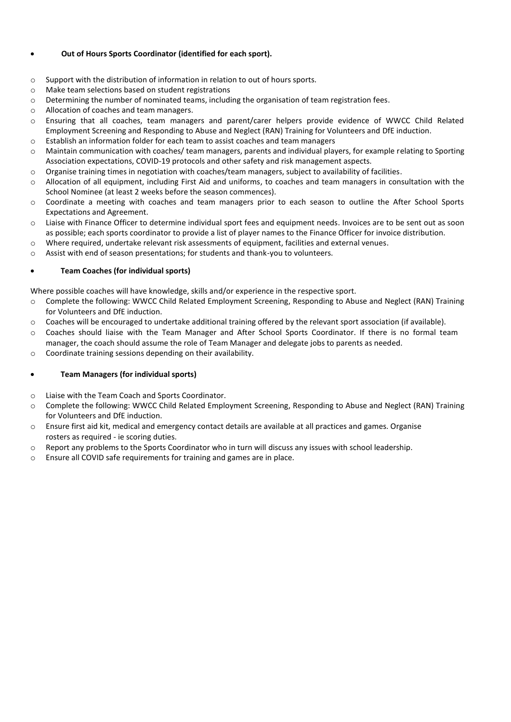# **Out of Hours Sports Coordinator (identified for each sport).**

- o Support with the distribution of information in relation to out of hours sports.
- o Make team selections based on student registrations
- $\circ$  Determining the number of nominated teams, including the organisation of team registration fees.
- o Allocation of coaches and team managers.
- o Ensuring that all coaches, team managers and parent/carer helpers provide evidence of WWCC Child Related Employment Screening and Responding to Abuse and Neglect (RAN) Training for Volunteers and DfE induction.
- $\circ$  Establish an information folder for each team to assist coaches and team managers
- $\circ$  Maintain communication with coaches/ team managers, parents and individual players, for example relating to Sporting Association expectations, COVID-19 protocols and other safety and risk management aspects.
- $\circ$  Organise training times in negotiation with coaches/team managers, subject to availability of facilities.
- o Allocation of all equipment, including First Aid and uniforms, to coaches and team managers in consultation with the School Nominee (at least 2 weeks before the season commences).
- o Coordinate a meeting with coaches and team managers prior to each season to outline the After School Sports Expectations and Agreement.
- o Liaise with Finance Officer to determine individual sport fees and equipment needs. Invoices are to be sent out as soon as possible; each sports coordinator to provide a list of player names to the Finance Officer for invoice distribution.
- o Where required, undertake relevant risk assessments of equipment, facilities and external venues.
- $\circ$  Assist with end of season presentations; for students and thank-you to volunteers.

# **Team Coaches (for individual sports)**

Where possible coaches will have knowledge, skills and/or experience in the respective sport.

- o Complete the following: WWCC Child Related Employment Screening, Responding to Abuse and Neglect (RAN) Training for Volunteers and DfE induction.
- $\circ$  Coaches will be encouraged to undertake additional training offered by the relevant sport association (if available).
- o Coaches should liaise with the Team Manager and After School Sports Coordinator. If there is no formal team manager, the coach should assume the role of Team Manager and delegate jobs to parents as needed.
- o Coordinate training sessions depending on their availability.

# **Team Managers (for individual sports)**

- o Liaise with the Team Coach and Sports Coordinator.
- o Complete the following: WWCC Child Related Employment Screening, Responding to Abuse and Neglect (RAN) Training for Volunteers and DfE induction.
- o Ensure first aid kit, medical and emergency contact details are available at all practices and games. Organise rosters as required - ie scoring duties.
- o Report any problems to the Sports Coordinator who in turn will discuss any issues with school leadership.
- o Ensure all COVID safe requirements for training and games are in place.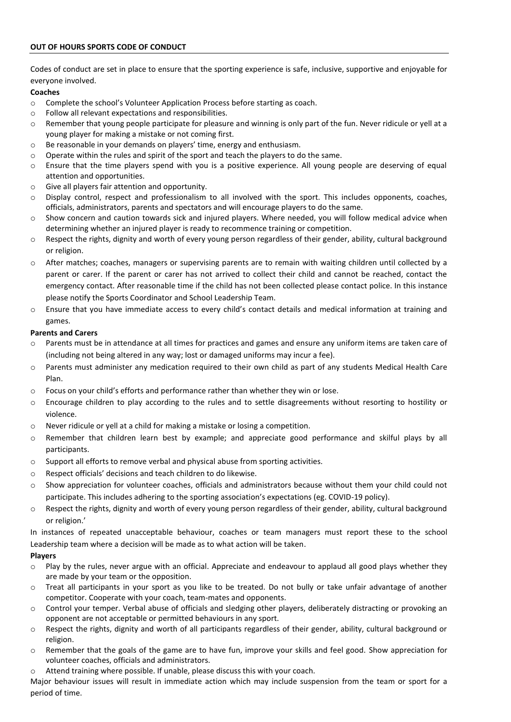# **OUT OF HOURS SPORTS CODE OF CONDUCT**

Codes of conduct are set in place to ensure that the sporting experience is safe, inclusive, supportive and enjoyable for everyone involved.

## **Coaches**

- $\circ$  Complete the school's Volunteer Application Process before starting as coach.
- o Follow all relevant expectations and responsibilities.
- o Remember that young people participate for pleasure and winning is only part of the fun. Never ridicule or yell at a young player for making a mistake or not coming first.
- o Be reasonable in your demands on players' time, energy and enthusiasm.
- $\circ$  Operate within the rules and spirit of the sport and teach the players to do the same.
- o Ensure that the time players spend with you is a positive experience. All young people are deserving of equal attention and opportunities.
- o Give all players fair attention and opportunity.
- o Display control, respect and professionalism to all involved with the sport. This includes opponents, coaches, officials, administrators, parents and spectators and will encourage players to do the same.
- $\circ$  Show concern and caution towards sick and injured players. Where needed, you will follow medical advice when determining whether an injured player is ready to recommence training or competition.
- o Respect the rights, dignity and worth of every young person regardless of their gender, ability, cultural background or religion.
- o After matches; coaches, managers or supervising parents are to remain with waiting children until collected by a parent or carer. If the parent or carer has not arrived to collect their child and cannot be reached, contact the emergency contact. After reasonable time if the child has not been collected please contact police. In this instance please notify the Sports Coordinator and School Leadership Team.
- o Ensure that you have immediate access to every child's contact details and medical information at training and games.

### **Parents and Carers**

- Parents must be in attendance at all times for practices and games and ensure any uniform items are taken care of (including not being altered in any way; lost or damaged uniforms may incur a fee).
- o Parents must administer any medication required to their own child as part of any students Medical Health Care Plan.
- $\circ$  Focus on your child's efforts and performance rather than whether they win or lose.
- o Encourage children to play according to the rules and to settle disagreements without resorting to hostility or violence.
- o Never ridicule or yell at a child for making a mistake or losing a competition.
- o Remember that children learn best by example; and appreciate good performance and skilful plays by all participants.
- o Support all efforts to remove verbal and physical abuse from sporting activities.
- o Respect officials' decisions and teach children to do likewise.
- o Show appreciation for volunteer coaches, officials and administrators because without them your child could not participate. This includes adhering to the sporting association's expectations (eg. COVID-19 policy).
- o Respect the rights, dignity and worth of every young person regardless of their gender, ability, cultural background or religion.'

In instances of repeated unacceptable behaviour, coaches or team managers must report these to the school Leadership team where a decision will be made as to what action will be taken.

# **Players**

- o Play by the rules, never argue with an official. Appreciate and endeavour to applaud all good plays whether they are made by your team or the opposition.
- o Treat all participants in your sport as you like to be treated. Do not bully or take unfair advantage of another competitor. Cooperate with your coach, team-mates and opponents.
- o Control your temper. Verbal abuse of officials and sledging other players, deliberately distracting or provoking an opponent are not acceptable or permitted behaviours in any sport.
- o Respect the rights, dignity and worth of all participants regardless of their gender, ability, cultural background or religion.
- o Remember that the goals of the game are to have fun, improve your skills and feel good. Show appreciation for volunteer coaches, officials and administrators.
- o Attend training where possible. If unable, please discuss this with your coach.

Major behaviour issues will result in immediate action which may include suspension from the team or sport for a period of time.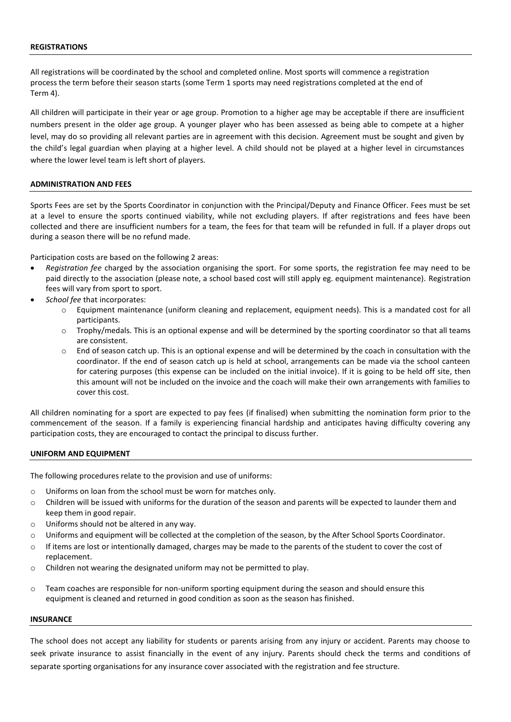### **REGISTRATIONS**

All registrations will be coordinated by the school and completed online. Most sports will commence a registration process the term before their season starts (some Term 1 sports may need registrations completed at the end of Term 4).

All children will participate in their year or age group. Promotion to a higher age may be acceptable if there are insufficient numbers present in the older age group. A younger player who has been assessed as being able to compete at a higher level, may do so providing all relevant parties are in agreement with this decision. Agreement must be sought and given by the child's legal guardian when playing at a higher level. A child should not be played at a higher level in circumstances where the lower level team is left short of players.

## **ADMINISTRATION AND FEES**

Sports Fees are set by the Sports Coordinator in conjunction with the Principal/Deputy and Finance Officer. Fees must be set at a level to ensure the sports continued viability, while not excluding players. If after registrations and fees have been collected and there are insufficient numbers for a team, the fees for that team will be refunded in full. If a player drops out during a season there will be no refund made.

Participation costs are based on the following 2 areas:

- *Registration fee* charged by the association organising the sport. For some sports, the registration fee may need to be paid directly to the association (please note, a school based cost will still apply eg. equipment maintenance). Registration fees will vary from sport to sport.
- *School fee* that incorporates:
	- o Equipment maintenance (uniform cleaning and replacement, equipment needs). This is a mandated cost for all participants.
	- o Trophy/medals. This is an optional expense and will be determined by the sporting coordinator so that all teams are consistent.
	- End of season catch up. This is an optional expense and will be determined by the coach in consultation with the coordinator. If the end of season catch up is held at school, arrangements can be made via the school canteen for catering purposes (this expense can be included on the initial invoice). If it is going to be held off site, then this amount will not be included on the invoice and the coach will make their own arrangements with families to cover this cost.

All children nominating for a sport are expected to pay fees (if finalised) when submitting the nomination form prior to the commencement of the season. If a family is experiencing financial hardship and anticipates having difficulty covering any participation costs, they are encouraged to contact the principal to discuss further.

#### **UNIFORM AND EQUIPMENT**

The following procedures relate to the provision and use of uniforms:

- o Uniforms on loan from the school must be worn for matches only.
- $\circ$  Children will be issued with uniforms for the duration of the season and parents will be expected to launder them and keep them in good repair.
- o Uniforms should not be altered in any way.
- o Uniforms and equipment will be collected at the completion of the season, by the After School Sports Coordinator.
- $\circ$  If items are lost or intentionally damaged, charges may be made to the parents of the student to cover the cost of replacement.
- o Children not wearing the designated uniform may not be permitted to play.
- o Team coaches are responsible for non-uniform sporting equipment during the season and should ensure this equipment is cleaned and returned in good condition as soon as the season has finished.

### **INSURANCE**

The school does not accept any liability for students or parents arising from any injury or accident. Parents may choose to seek private insurance to assist financially in the event of any injury. Parents should check the terms and conditions of separate sporting organisations for any insurance cover associated with the registration and fee structure.